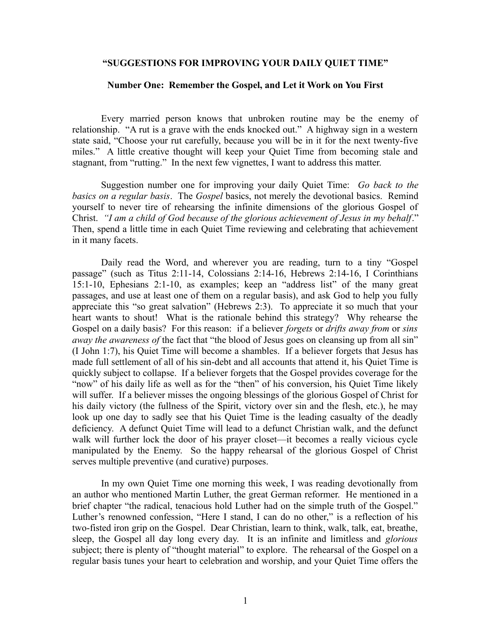## **"SUGGESTIONS FOR IMPROVING YOUR DAILY QUIET TIME"**

## **Number One: Remember the Gospel, and Let it Work on You First**

Every married person knows that unbroken routine may be the enemy of relationship. "A rut is a grave with the ends knocked out." A highway sign in a western state said, "Choose your rut carefully, because you will be in it for the next twenty-five miles." A little creative thought will keep your Quiet Time from becoming stale and stagnant, from "rutting." In the next few vignettes, I want to address this matter.

Suggestion number one for improving your daily Quiet Time: *Go back to the basics on a regular basis*. The *Gospel* basics, not merely the devotional basics. Remind yourself to never tire of rehearsing the infinite dimensions of the glorious Gospel of Christ. *"I am a child of God because of the glorious achievement of Jesus in my behalf*." Then, spend a little time in each Quiet Time reviewing and celebrating that achievement in it many facets.

Daily read the Word, and wherever you are reading, turn to a tiny "Gospel passage" (such as Titus 2:11-14, Colossians 2:14-16, Hebrews 2:14-16, I Corinthians 15:1-10, Ephesians 2:1-10, as examples; keep an "address list" of the many great passages, and use at least one of them on a regular basis), and ask God to help you fully appreciate this "so great salvation" (Hebrews 2:3). To appreciate it so much that your heart wants to shout! What is the rationale behind this strategy? Why rehearse the Gospel on a daily basis? For this reason: if a believer *forgets* or *drifts away from* or *sins away the awareness of the fact that "the blood of Jesus goes on cleansing up from all sin"* (I John 1:7), his Quiet Time will become a shambles. If a believer forgets that Jesus has made full settlement of all of his sin-debt and all accounts that attend it, his Quiet Time is quickly subject to collapse. If a believer forgets that the Gospel provides coverage for the "now" of his daily life as well as for the "then" of his conversion, his Quiet Time likely will suffer. If a believer misses the ongoing blessings of the glorious Gospel of Christ for his daily victory (the fullness of the Spirit, victory over sin and the flesh, etc.), he may look up one day to sadly see that his Quiet Time is the leading casualty of the deadly deficiency. A defunct Quiet Time will lead to a defunct Christian walk, and the defunct walk will further lock the door of his prayer closet—it becomes a really vicious cycle manipulated by the Enemy. So the happy rehearsal of the glorious Gospel of Christ serves multiple preventive (and curative) purposes.

In my own Quiet Time one morning this week, I was reading devotionally from an author who mentioned Martin Luther, the great German reformer. He mentioned in a brief chapter "the radical, tenacious hold Luther had on the simple truth of the Gospel." Luther's renowned confession, "Here I stand, I can do no other," is a reflection of his two-fisted iron grip on the Gospel. Dear Christian, learn to think, walk, talk, eat, breathe, sleep, the Gospel all day long every day. It is an infinite and limitless and *glorious* subject; there is plenty of "thought material" to explore. The rehearsal of the Gospel on a regular basis tunes your heart to celebration and worship, and your Quiet Time offers the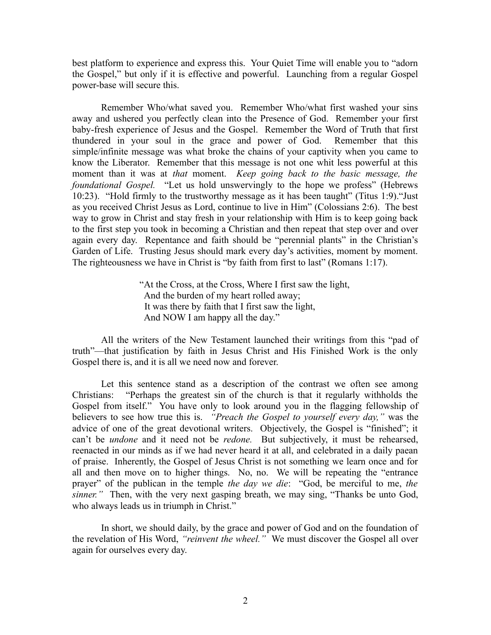best platform to experience and express this. Your Quiet Time will enable you to "adorn the Gospel," but only if it is effective and powerful. Launching from a regular Gospel power-base will secure this.

Remember Who/what saved you. Remember Who/what first washed your sins away and ushered you perfectly clean into the Presence of God. Remember your first baby-fresh experience of Jesus and the Gospel. Remember the Word of Truth that first thundered in your soul in the grace and power of God. Remember that this simple/infinite message was what broke the chains of your captivity when you came to know the Liberator. Remember that this message is not one whit less powerful at this moment than it was at *that* moment. *Keep going back to the basic message, the foundational Gospel.* "Let us hold unswervingly to the hope we profess" (Hebrews 10:23). "Hold firmly to the trustworthy message as it has been taught" (Titus 1:9)."Just as you received Christ Jesus as Lord, continue to live in Him" (Colossians 2:6). The best way to grow in Christ and stay fresh in your relationship with Him is to keep going back to the first step you took in becoming a Christian and then repeat that step over and over again every day. Repentance and faith should be "perennial plants" in the Christian's Garden of Life. Trusting Jesus should mark every day's activities, moment by moment. The righteousness we have in Christ is "by faith from first to last" (Romans 1:17).

> "At the Cross, at the Cross, Where I first saw the light, And the burden of my heart rolled away; It was there by faith that I first saw the light, And NOW I am happy all the day."

All the writers of the New Testament launched their writings from this "pad of truth"—that justification by faith in Jesus Christ and His Finished Work is the only Gospel there is, and it is all we need now and forever.

Let this sentence stand as a description of the contrast we often see among Christians: "Perhaps the greatest sin of the church is that it regularly withholds the Gospel from itself." You have only to look around you in the flagging fellowship of believers to see how true this is. *"Preach the Gospel to yourself every day,"* was the advice of one of the great devotional writers. Objectively, the Gospel is "finished"; it can't be *undone* and it need not be *redone.* But subjectively, it must be rehearsed, reenacted in our minds as if we had never heard it at all, and celebrated in a daily paean of praise. Inherently, the Gospel of Jesus Christ is not something we learn once and for all and then move on to higher things. No, no. We will be repeating the "entrance prayer" of the publican in the temple *the day we die*: "God, be merciful to me, *the sinner.*" Then, with the very next gasping breath, we may sing, "Thanks be unto God, who always leads us in triumph in Christ."

In short, we should daily, by the grace and power of God and on the foundation of the revelation of His Word, *"reinvent the wheel."* We must discover the Gospel all over again for ourselves every day.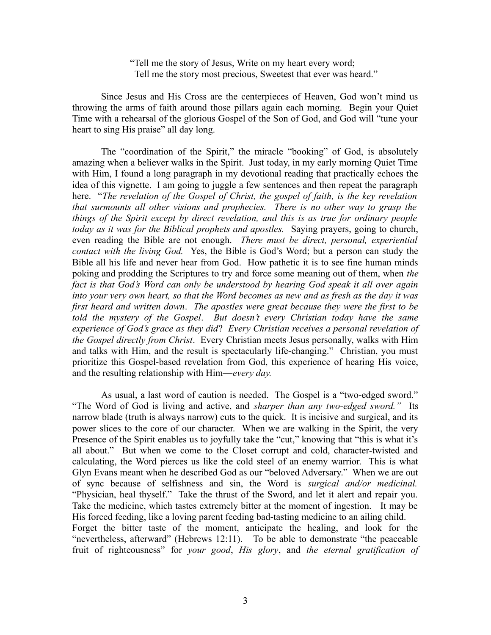"Tell me the story of Jesus, Write on my heart every word; Tell me the story most precious, Sweetest that ever was heard."

Since Jesus and His Cross are the centerpieces of Heaven, God won't mind us throwing the arms of faith around those pillars again each morning. Begin your Quiet Time with a rehearsal of the glorious Gospel of the Son of God, and God will "tune your heart to sing His praise" all day long.

The "coordination of the Spirit," the miracle "booking" of God, is absolutely amazing when a believer walks in the Spirit. Just today, in my early morning Quiet Time with Him, I found a long paragraph in my devotional reading that practically echoes the idea of this vignette. I am going to juggle a few sentences and then repeat the paragraph here. "*The revelation of the Gospel of Christ, the gospel of faith, is the key revelation that surmounts all other visions and prophecies. There is no other way to grasp the things of the Spirit except by direct revelation, and this is as true for ordinary people today as it was for the Biblical prophets and apostles.* Saying prayers, going to church, even reading the Bible are not enough. *There must be direct, personal, experiential contact with the living God.* Yes, the Bible is God's Word; but a person can study the Bible all his life and never hear from God. How pathetic it is to see fine human minds poking and prodding the Scriptures to try and force some meaning out of them, when *the fact is that God's Word can only be understood by hearing God speak it all over again into your very own heart, so that the Word becomes as new and as fresh as the day it was first heard and written down*. *The apostles were great because they were the first to be told the mystery of the Gospel*. *But doesn't every Christian today have the same experience of God's grace as they did*? *Every Christian receives a personal revelation of the Gospel directly from Christ*. Every Christian meets Jesus personally, walks with Him and talks with Him, and the result is spectacularly life-changing." Christian, you must prioritize this Gospel-based revelation from God, this experience of hearing His voice, and the resulting relationship with Him—*every day.* 

As usual, a last word of caution is needed. The Gospel is a "two-edged sword." "The Word of God is living and active, and *sharper than any two-edged sword."* Its narrow blade (truth is always narrow) cuts to the quick. It is incisive and surgical, and its power slices to the core of our character. When we are walking in the Spirit, the very Presence of the Spirit enables us to joyfully take the "cut," knowing that "this is what it's all about." But when we come to the Closet corrupt and cold, character-twisted and calculating, the Word pierces us like the cold steel of an enemy warrior. This is what Glyn Evans meant when he described God as our "beloved Adversary." When we are out of sync because of selfishness and sin, the Word is *surgical and/or medicinal.* "Physician, heal thyself." Take the thrust of the Sword, and let it alert and repair you. Take the medicine, which tastes extremely bitter at the moment of ingestion. It may be His forced feeding, like a loving parent feeding bad-tasting medicine to an ailing child. Forget the bitter taste of the moment, anticipate the healing, and look for the "nevertheless, afterward" (Hebrews 12:11). To be able to demonstrate "the peaceable fruit of righteousness" for *your good*, *His glory*, and *the eternal gratification of*